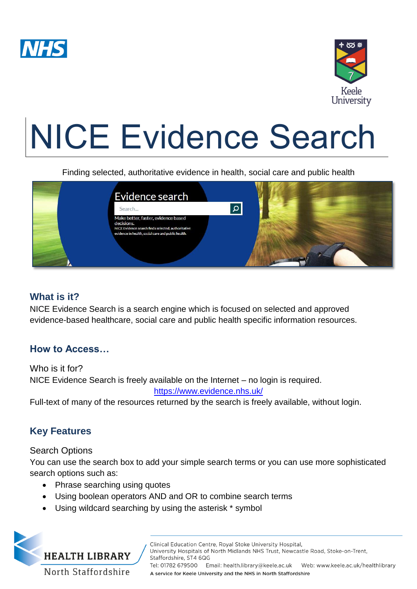



# NICE Evidence Search

Finding selected, authoritative evidence in health, social care and public health



## **What is it?**

NICE Evidence Search is a search engine which is focused on selected and approved evidence-based healthcare, social care and public health specific information resources.

## **How to Access…**

Who is it for? NICE Evidence Search is freely available on the Internet – no login is required. <https://www.evidence.nhs.uk/>

Full-text of many of the resources returned by the search is freely available, without login.

# **Key Features**

## Search Options

You can use the search box to add your simple search terms or you can use more sophisticated search options such as:

- Phrase searching using quotes
- Using boolean operators AND and OR to combine search terms
- Using wildcard searching by using the asterisk \* symbol